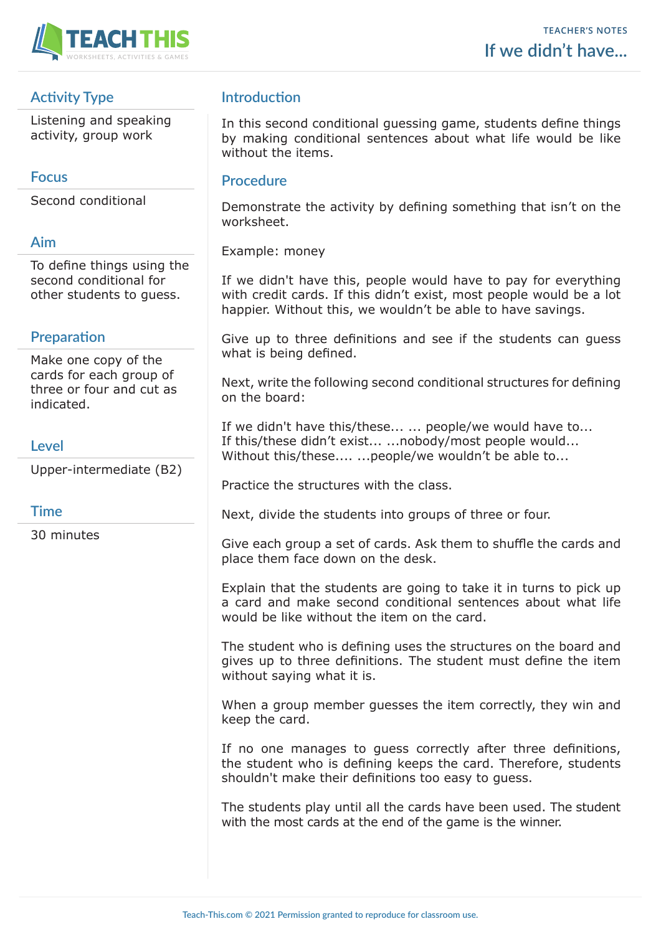

# **Activity Type**

Listening and speaking activity, group work

## **Focus**

Second conditional

## **Aim**

To define things using the second conditional for other students to guess.

## **Preparation**

Make one copy of the cards for each group of three or four and cut as indicated.

### **Level**

Upper-intermediate (B2)

### **Time**

30 minutes

## **Introduction**

In this second conditional guessing game, students define things by making conditional sentences about what life would be like without the items.

#### **Procedure**

Demonstrate the activity by defining something that isn't on the worksheet.

Example: money

If we didn't have this, people would have to pay for everything with credit cards. If this didn't exist, most people would be a lot happier. Without this, we wouldn't be able to have savings.

Give up to three definitions and see if the students can guess what is being defined.

Next, write the following second conditional structures for defining on the board:

If we didn't have this/these... ... people/we would have to... If this/these didn't exist... ...nobody/most people would... Without this/these.... ... people/we wouldn't be able to...

Practice the structures with the class.

Next, divide the students into groups of three or four.

Give each group a set of cards. Ask them to shuffle the cards and place them face down on the desk.

Explain that the students are going to take it in turns to pick up a card and make second conditional sentences about what life would be like without the item on the card.

The student who is defining uses the structures on the board and gives up to three definitions. The student must define the item without saying what it is.

When a group member guesses the item correctly, they win and keep the card.

If no one manages to guess correctly after three definitions, the student who is defining keeps the card. Therefore, students shouldn't make their definitions too easy to guess.

The students play until all the cards have been used. The student with the most cards at the end of the game is the winner.